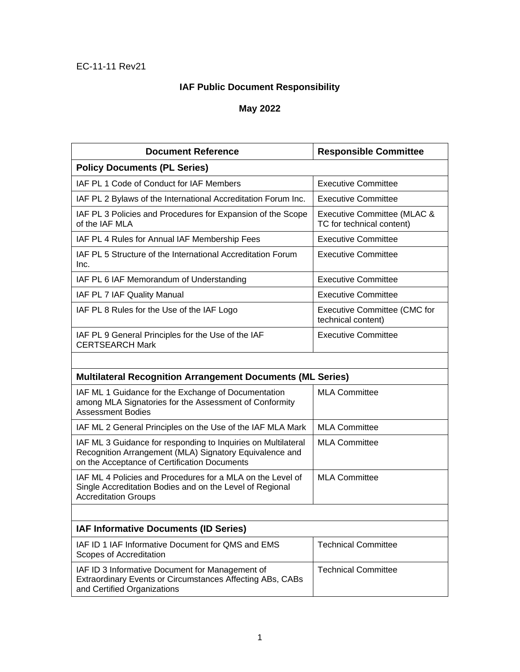## **IAF Public Document Responsibility**

## **May 2022**

| <b>Document Reference</b>                                                                                                                                                | <b>Responsible Committee</b>                              |  |
|--------------------------------------------------------------------------------------------------------------------------------------------------------------------------|-----------------------------------------------------------|--|
| <b>Policy Documents (PL Series)</b>                                                                                                                                      |                                                           |  |
| IAF PL 1 Code of Conduct for IAF Members                                                                                                                                 | <b>Executive Committee</b>                                |  |
| IAF PL 2 Bylaws of the International Accreditation Forum Inc.                                                                                                            | <b>Executive Committee</b>                                |  |
| IAF PL 3 Policies and Procedures for Expansion of the Scope<br>of the IAF MLA                                                                                            | Executive Committee (MLAC &<br>TC for technical content)  |  |
| IAF PL 4 Rules for Annual IAF Membership Fees                                                                                                                            | <b>Executive Committee</b>                                |  |
| IAF PL 5 Structure of the International Accreditation Forum<br>Inc.                                                                                                      | <b>Executive Committee</b>                                |  |
| IAF PL 6 IAF Memorandum of Understanding                                                                                                                                 | <b>Executive Committee</b>                                |  |
| IAF PL 7 IAF Quality Manual                                                                                                                                              | <b>Executive Committee</b>                                |  |
| IAF PL 8 Rules for the Use of the IAF Logo                                                                                                                               | <b>Executive Committee (CMC for</b><br>technical content) |  |
| IAF PL 9 General Principles for the Use of the IAF<br><b>CERTSEARCH Mark</b>                                                                                             | <b>Executive Committee</b>                                |  |
|                                                                                                                                                                          |                                                           |  |
| <b>Multilateral Recognition Arrangement Documents (ML Series)</b>                                                                                                        |                                                           |  |
| IAF ML 1 Guidance for the Exchange of Documentation<br>among MLA Signatories for the Assessment of Conformity<br><b>Assessment Bodies</b>                                | <b>MLA Committee</b>                                      |  |
| IAF ML 2 General Principles on the Use of the IAF MLA Mark                                                                                                               | <b>MLA Committee</b>                                      |  |
| IAF ML 3 Guidance for responding to Inquiries on Multilateral<br>Recognition Arrangement (MLA) Signatory Equivalence and<br>on the Acceptance of Certification Documents | <b>MLA Committee</b>                                      |  |
| IAF ML 4 Policies and Procedures for a MLA on the Level of<br>Single Accreditation Bodies and on the Level of Regional<br><b>Accreditation Groups</b>                    | <b>MLA Committee</b>                                      |  |
|                                                                                                                                                                          |                                                           |  |
| IAF Informative Documents (ID Series)                                                                                                                                    |                                                           |  |
| IAF ID 1 IAF Informative Document for QMS and EMS<br>Scopes of Accreditation                                                                                             | <b>Technical Committee</b>                                |  |
| IAF ID 3 Informative Document for Management of<br>Extraordinary Events or Circumstances Affecting ABs, CABs<br>and Certified Organizations                              | <b>Technical Committee</b>                                |  |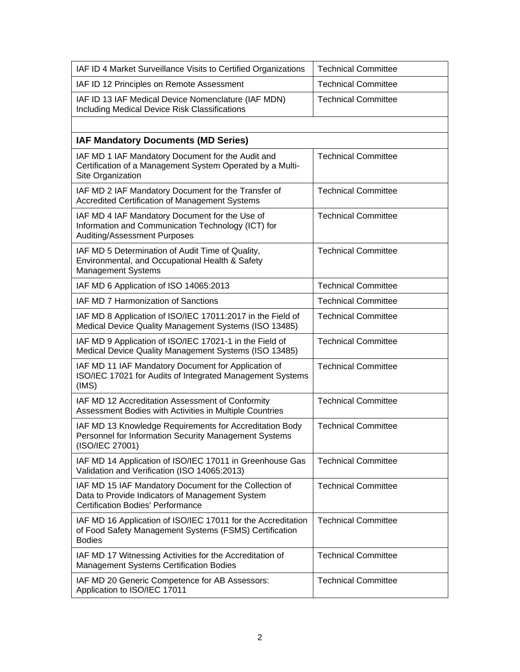| IAF ID 4 Market Surveillance Visits to Certified Organizations                                                                                        | <b>Technical Committee</b> |
|-------------------------------------------------------------------------------------------------------------------------------------------------------|----------------------------|
| IAF ID 12 Principles on Remote Assessment                                                                                                             | <b>Technical Committee</b> |
| IAF ID 13 IAF Medical Device Nomenclature (IAF MDN)<br>Including Medical Device Risk Classifications                                                  | <b>Technical Committee</b> |
|                                                                                                                                                       |                            |
| <b>IAF Mandatory Documents (MD Series)</b>                                                                                                            |                            |
| IAF MD 1 IAF Mandatory Document for the Audit and<br>Certification of a Management System Operated by a Multi-<br>Site Organization                   | <b>Technical Committee</b> |
| IAF MD 2 IAF Mandatory Document for the Transfer of<br>Accredited Certification of Management Systems                                                 | <b>Technical Committee</b> |
| IAF MD 4 IAF Mandatory Document for the Use of<br>Information and Communication Technology (ICT) for<br>Auditing/Assessment Purposes                  | <b>Technical Committee</b> |
| IAF MD 5 Determination of Audit Time of Quality,<br>Environmental, and Occupational Health & Safety<br><b>Management Systems</b>                      | <b>Technical Committee</b> |
| IAF MD 6 Application of ISO 14065:2013                                                                                                                | <b>Technical Committee</b> |
| IAF MD 7 Harmonization of Sanctions                                                                                                                   | <b>Technical Committee</b> |
| IAF MD 8 Application of ISO/IEC 17011:2017 in the Field of<br>Medical Device Quality Management Systems (ISO 13485)                                   | <b>Technical Committee</b> |
| IAF MD 9 Application of ISO/IEC 17021-1 in the Field of<br>Medical Device Quality Management Systems (ISO 13485)                                      | <b>Technical Committee</b> |
| IAF MD 11 IAF Mandatory Document for Application of<br>ISO/IEC 17021 for Audits of Integrated Management Systems<br>(IMS)                             | <b>Technical Committee</b> |
| IAF MD 12 Accreditation Assessment of Conformity<br>Assessment Bodies with Activities in Multiple Countries                                           | <b>Technical Committee</b> |
| IAF MD 13 Knowledge Requirements for Accreditation Body<br>Personnel for Information Security Management Systems<br>(ISO/IEC 27001)                   | <b>Technical Committee</b> |
| IAF MD 14 Application of ISO/IEC 17011 in Greenhouse Gas<br>Validation and Verification (ISO 14065:2013)                                              | <b>Technical Committee</b> |
| IAF MD 15 IAF Mandatory Document for the Collection of<br>Data to Provide Indicators of Management System<br><b>Certification Bodies' Performance</b> | <b>Technical Committee</b> |
| IAF MD 16 Application of ISO/IEC 17011 for the Accreditation<br>of Food Safety Management Systems (FSMS) Certification<br><b>Bodies</b>               | <b>Technical Committee</b> |
| IAF MD 17 Witnessing Activities for the Accreditation of<br><b>Management Systems Certification Bodies</b>                                            | <b>Technical Committee</b> |
| IAF MD 20 Generic Competence for AB Assessors:<br>Application to ISO/IEC 17011                                                                        | <b>Technical Committee</b> |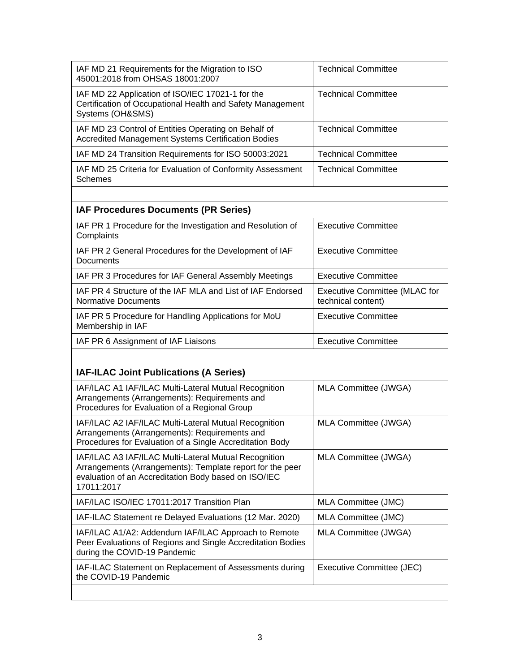| IAF MD 21 Requirements for the Migration to ISO<br>45001:2018 from OHSAS 18001:2007                                                | <b>Technical Committee</b>                                 |  |
|------------------------------------------------------------------------------------------------------------------------------------|------------------------------------------------------------|--|
| IAF MD 22 Application of ISO/IEC 17021-1 for the<br>Certification of Occupational Health and Safety Management<br>Systems (OH&SMS) | <b>Technical Committee</b>                                 |  |
| IAF MD 23 Control of Entities Operating on Behalf of<br>Accredited Management Systems Certification Bodies                         | <b>Technical Committee</b>                                 |  |
| IAF MD 24 Transition Requirements for ISO 50003:2021                                                                               | <b>Technical Committee</b>                                 |  |
| IAF MD 25 Criteria for Evaluation of Conformity Assessment<br><b>Schemes</b>                                                       | <b>Technical Committee</b>                                 |  |
|                                                                                                                                    |                                                            |  |
| <b>IAF Procedures Documents (PR Series)</b>                                                                                        |                                                            |  |
| IAF PR 1 Procedure for the Investigation and Resolution of<br>Complaints                                                           | Executive Committee                                        |  |
| IAF PR 2 General Procedures for the Development of IAF<br>Documents                                                                | Executive Committee                                        |  |
| IAF PR 3 Procedures for IAF General Assembly Meetings                                                                              | <b>Executive Committee</b>                                 |  |
| IAF PR 4 Structure of the IAF MLA and List of IAF Endorsed<br><b>Normative Documents</b>                                           | <b>Executive Committee (MLAC for</b><br>technical content) |  |
| IAF PR 5 Procedure for Handling Applications for MoU<br>Membership in IAF                                                          | <b>Executive Committee</b>                                 |  |
| IAF PR 6 Assignment of IAF Liaisons                                                                                                | <b>Executive Committee</b>                                 |  |
|                                                                                                                                    |                                                            |  |
|                                                                                                                                    |                                                            |  |

## **IAF-ILAC Joint Publications (A Series)**

| IAF/ILAC A1 IAF/ILAC Multi-Lateral Mutual Recognition<br>Arrangements (Arrangements): Requirements and<br>Procedures for Evaluation of a Regional Group                                  | MLA Committee (JWGA)      |
|------------------------------------------------------------------------------------------------------------------------------------------------------------------------------------------|---------------------------|
| IAF/ILAC A2 IAF/ILAC Multi-Lateral Mutual Recognition<br>Arrangements (Arrangements): Requirements and<br>Procedures for Evaluation of a Single Accreditation Body                       | MLA Committee (JWGA)      |
| IAF/ILAC A3 IAF/ILAC Multi-Lateral Mutual Recognition<br>Arrangements (Arrangements): Template report for the peer<br>evaluation of an Accreditation Body based on ISO/IEC<br>17011:2017 | MLA Committee (JWGA)      |
| IAF/ILAC ISO/IEC 17011:2017 Transition Plan                                                                                                                                              | MLA Committee (JMC)       |
| IAF-ILAC Statement re Delayed Evaluations (12 Mar. 2020)                                                                                                                                 | MLA Committee (JMC)       |
| IAF/ILAC A1/A2: Addendum IAF/ILAC Approach to Remote<br>Peer Evaluations of Regions and Single Accreditation Bodies<br>during the COVID-19 Pandemic                                      | MLA Committee (JWGA)      |
| IAF-ILAC Statement on Replacement of Assessments during<br>the COVID-19 Pandemic                                                                                                         | Executive Committee (JEC) |
|                                                                                                                                                                                          |                           |

 $\overline{\phantom{a}}$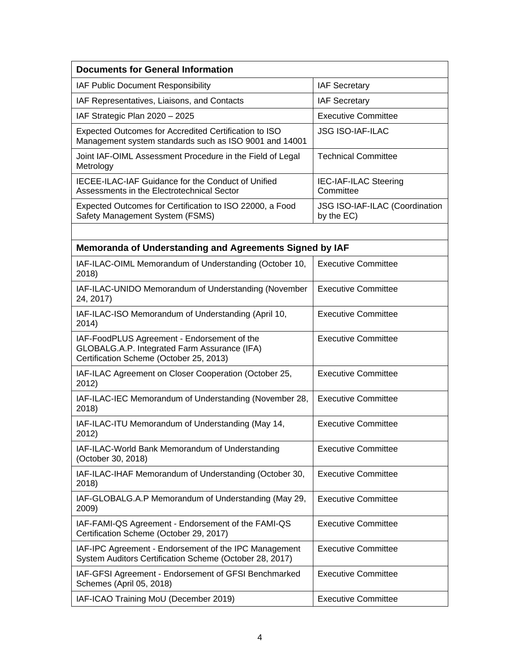| <b>Documents for General Information</b>                                                                                               |                                              |  |
|----------------------------------------------------------------------------------------------------------------------------------------|----------------------------------------------|--|
| IAF Public Document Responsibility                                                                                                     | <b>IAF Secretary</b>                         |  |
| IAF Representatives, Liaisons, and Contacts                                                                                            | <b>IAF Secretary</b>                         |  |
| IAF Strategic Plan 2020 - 2025                                                                                                         | <b>Executive Committee</b>                   |  |
| Expected Outcomes for Accredited Certification to ISO<br>Management system standards such as ISO 9001 and 14001                        | <b>JSG ISO-IAF-ILAC</b>                      |  |
| Joint IAF-OIML Assessment Procedure in the Field of Legal<br>Metrology                                                                 | <b>Technical Committee</b>                   |  |
| <b>IECEE-ILAC-IAF Guidance for the Conduct of Unified</b><br>Assessments in the Electrotechnical Sector                                | IEC-IAF-ILAC Steering<br>Committee           |  |
| Expected Outcomes for Certification to ISO 22000, a Food<br>Safety Management System (FSMS)                                            | JSG ISO-IAF-ILAC (Coordination<br>by the EC) |  |
|                                                                                                                                        |                                              |  |
| Memoranda of Understanding and Agreements Signed by IAF                                                                                |                                              |  |
| IAF-ILAC-OIML Memorandum of Understanding (October 10,<br>2018)                                                                        | <b>Executive Committee</b>                   |  |
| IAF-ILAC-UNIDO Memorandum of Understanding (November<br>24, 2017)                                                                      | <b>Executive Committee</b>                   |  |
| IAF-ILAC-ISO Memorandum of Understanding (April 10,<br>2014)                                                                           | <b>Executive Committee</b>                   |  |
| IAF-FoodPLUS Agreement - Endorsement of the<br>GLOBALG.A.P. Integrated Farm Assurance (IFA)<br>Certification Scheme (October 25, 2013) | <b>Executive Committee</b>                   |  |
| IAF-ILAC Agreement on Closer Cooperation (October 25,<br>2012)                                                                         | <b>Executive Committee</b>                   |  |
| IAF-ILAC-IEC Memorandum of Understanding (November 28,<br>2018)                                                                        | <b>Executive Committee</b>                   |  |
| IAF-ILAC-ITU Memorandum of Understanding (May 14,<br>2012)                                                                             | <b>Executive Committee</b>                   |  |
| IAF-ILAC-World Bank Memorandum of Understanding<br>(October 30, 2018)                                                                  | <b>Executive Committee</b>                   |  |
| IAF-ILAC-IHAF Memorandum of Understanding (October 30,<br>2018)                                                                        | <b>Executive Committee</b>                   |  |
| IAF-GLOBALG.A.P Memorandum of Understanding (May 29,<br>2009)                                                                          | <b>Executive Committee</b>                   |  |
| IAF-FAMI-QS Agreement - Endorsement of the FAMI-QS<br>Certification Scheme (October 29, 2017)                                          | <b>Executive Committee</b>                   |  |
| IAF-IPC Agreement - Endorsement of the IPC Management<br>System Auditors Certification Scheme (October 28, 2017)                       | <b>Executive Committee</b>                   |  |
| IAF-GFSI Agreement - Endorsement of GFSI Benchmarked<br>Schemes (April 05, 2018)                                                       | <b>Executive Committee</b>                   |  |
| IAF-ICAO Training MoU (December 2019)                                                                                                  | <b>Executive Committee</b>                   |  |